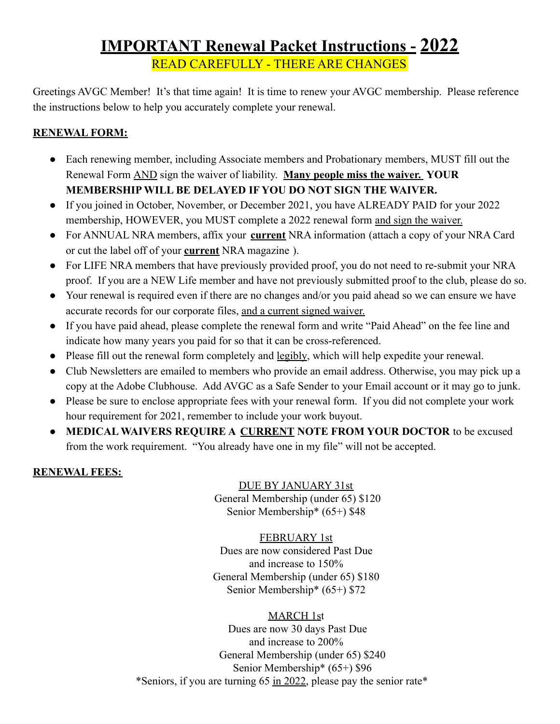# **IMPORTANT Renewal Packet Instructions - 2022** READ CAREFULLY - THERE ARE CHANGES

Greetings AVGC Member! It's that time again! It is time to renew your AVGC membership. Please reference the instructions below to help you accurately complete your renewal.

#### **RENEWAL FORM:**

- Each renewing member, including Associate members and Probationary members, MUST fill out the Renewal Form AND sign the waiver of liability. **Many people miss the waiver. YOUR MEMBERSHIP WILL BE DELAYED IF YOU DO NOT SIGN THE WAIVER.**
- If you joined in October, November, or December 2021, you have ALREADY PAID for your 2022 membership, HOWEVER, you MUST complete a 2022 renewal form and sign the waiver.
- For ANNUAL NRA members, affix your **current** NRA information (attach a copy of your NRA Card or cut the label off of your **current** NRA magazine ).
- For LIFE NRA members that have previously provided proof, you do not need to re-submit your NRA proof. If you are a NEW Life member and have not previously submitted proof to the club, please do so.
- Your renewal is required even if there are no changes and/or you paid ahead so we can ensure we have accurate records for our corporate files, and a current signed waiver.
- If you have paid ahead, please complete the renewal form and write "Paid Ahead" on the fee line and indicate how many years you paid for so that it can be cross-referenced.
- Please fill out the renewal form completely and legibly, which will help expedite your renewal.
- Club Newsletters are emailed to members who provide an email address. Otherwise, you may pick up a copy at the Adobe Clubhouse. Add AVGC as a Safe Sender to your Email account or it may go to junk.
- Please be sure to enclose appropriate fees with your renewal form. If you did not complete your work hour requirement for 2021, remember to include your work buyout.
- **MEDICAL WAIVERS REQUIRE A CURRENT NOTE FROM YOUR DOCTOR** to be excused from the work requirement. "You already have one in my file" will not be accepted.

# **RENEWAL FEES:**

DUE BY JANUARY 31st General Membership (under 65) \$120 Senior Membership\* (65+) \$48

FEBRUARY 1st Dues are now considered Past Due and increase to 150%

General Membership (under 65) \$180 Senior Membership\* (65+) \$72

MARCH 1st

Dues are now 30 days Past Due and increase to 200% General Membership (under 65) \$240 Senior Membership\* (65+) \$96 \*Seniors, if you are turning 65 in 2022, please pay the senior rate\*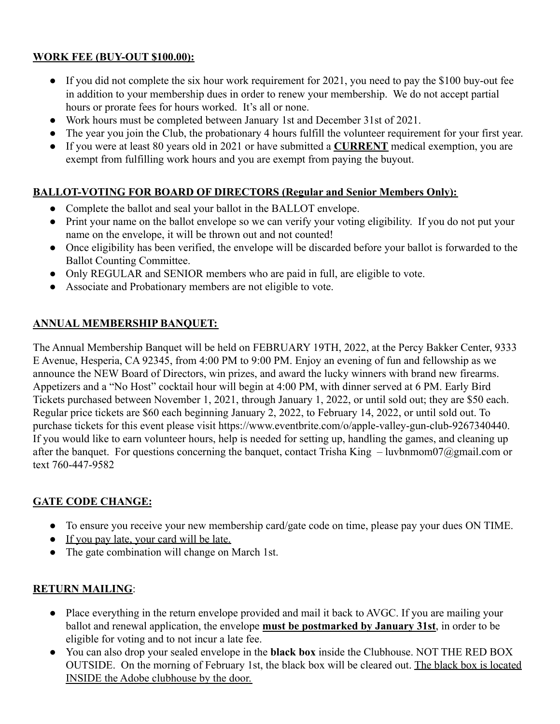#### **WORK FEE (BUY-OUT \$100.00):**

- If you did not complete the six hour work requirement for 2021, you need to pay the \$100 buy-out fee in addition to your membership dues in order to renew your membership. We do not accept partial hours or prorate fees for hours worked. It's all or none.
- Work hours must be completed between January 1st and December 31st of 2021.
- The year you join the Club, the probationary 4 hours fulfill the volunteer requirement for your first year.
- If you were at least 80 years old in 2021 or have submitted a **CURRENT** medical exemption, you are exempt from fulfilling work hours and you are exempt from paying the buyout.

# **BALLOT-VOTING FOR BOARD OF DIRECTORS (Regular and Senior Members Only):**

- Complete the ballot and seal your ballot in the BALLOT envelope.
- Print your name on the ballot envelope so we can verify your voting eligibility. If you do not put your name on the envelope, it will be thrown out and not counted!
- Once eligibility has been verified, the envelope will be discarded before your ballot is forwarded to the Ballot Counting Committee.
- Only REGULAR and SENIOR members who are paid in full, are eligible to vote.
- Associate and Probationary members are not eligible to vote.

# **ANNUAL MEMBERSHIP BANQUET:**

The Annual Membership Banquet will be held on FEBRUARY 19TH, 2022, at the Percy Bakker Center, 9333 E Avenue, Hesperia, CA 92345, from 4:00 PM to 9:00 PM. Enjoy an evening of fun and fellowship as we announce the NEW Board of Directors, win prizes, and award the lucky winners with brand new firearms. Appetizers and a "No Host" cocktail hour will begin at 4:00 PM, with dinner served at 6 PM. Early Bird Tickets purchased between November 1, 2021, through January 1, 2022, or until sold out; they are \$50 each. Regular price tickets are \$60 each beginning January 2, 2022, to February 14, 2022, or until sold out. To purchase tickets for this event please visit https://www.eventbrite.com/o/apple-valley-gun-club-9267340440. If you would like to earn volunteer hours, help is needed for setting up, handling the games, and cleaning up after the banquet. For questions concerning the banquet, contact Trisha King  $-$  luvbnmom07@gmail.com or text 760-447-9582

# **GATE CODE CHANGE:**

- To ensure you receive your new membership card/gate code on time, please pay your dues ON TIME.
- If you pay late, your card will be late.
- The gate combination will change on March 1st.

# **RETURN MAILING**:

- Place everything in the return envelope provided and mail it back to AVGC. If you are mailing your ballot and renewal application, the envelope **must be postmarked by January 31st**, in order to be eligible for voting and to not incur a late fee.
- You can also drop your sealed envelope in the **black box** inside the Clubhouse. NOT THE RED BOX OUTSIDE. On the morning of February 1st, the black box will be cleared out. The black box is located INSIDE the Adobe clubhouse by the door.